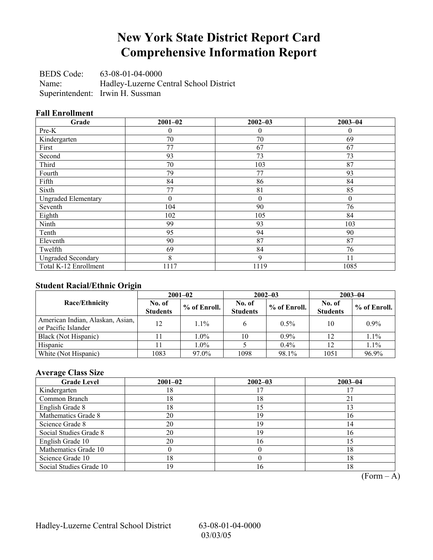# **New York State District Report Card Comprehensive Information Report**

BEDS Code: 63-08-01-04-0000 Name: Hadley-Luzerne Central School District Superintendent: Irwin H. Sussman

### **Fall Enrollment**

| Grade                      | $2001 - 02$ | $2002 - 03$ | $2003 - 04$ |
|----------------------------|-------------|-------------|-------------|
| Pre-K                      | 0           | $\theta$    | 0           |
| Kindergarten               | 70          | 70          | 69          |
| First                      | 77          | 67          | 67          |
| Second                     | 93          | 73          | 73          |
| Third                      | 70          | 103         | 87          |
| Fourth                     | 79          | 77          | 93          |
| Fifth                      | 84          | 86          | 84          |
| Sixth                      | 77          | 81          | 85          |
| <b>Ungraded Elementary</b> | $\theta$    | $\theta$    | $\theta$    |
| Seventh                    | 104         | 90          | 76          |
| Eighth                     | 102         | 105         | 84          |
| Ninth                      | 99          | 93          | 103         |
| Tenth                      | 95          | 94          | 90          |
| Eleventh                   | 90          | 87          | 87          |
| Twelfth                    | 69          | 84          | 76          |
| <b>Ungraded Secondary</b>  | 8           | 9           | 11          |
| Total K-12 Enrollment      | 1117        | 1119        | 1085        |

## **Student Racial/Ethnic Origin**

|                                                         | $2001 - 02$               |                | $2002 - 03$               |              | $2003 - 04$               |              |
|---------------------------------------------------------|---------------------------|----------------|---------------------------|--------------|---------------------------|--------------|
| <b>Race/Ethnicity</b>                                   | No. of<br><b>Students</b> | $%$ of Enroll. | No. of<br><b>Students</b> | % of Enroll. | No. of<br><b>Students</b> | % of Enroll. |
| American Indian, Alaskan, Asian,<br>or Pacific Islander | 12                        | $1.1\%$        |                           | $0.5\%$      | 10                        | $0.9\%$      |
| Black (Not Hispanic)                                    |                           | $1.0\%$        | 10                        | $0.9\%$      | 12                        | 1.1%         |
| Hispanic                                                |                           | $1.0\%$        |                           | 0.4%         | 12                        | 1.1%         |
| White (Not Hispanic)                                    | 1083                      | 97.0%          | 1098                      | 98.1%        | 1051                      | 96.9%        |

### **Average Class Size**

| <b>Grade Level</b>      | $2001 - 02$ | $2002 - 03$ | $2003 - 04$ |
|-------------------------|-------------|-------------|-------------|
| Kindergarten            | 18          |             |             |
| Common Branch           | 18          | 18          |             |
| English Grade 8         | 18          | 15          |             |
| Mathematics Grade 8     | 20          | 19          | 16          |
| Science Grade 8         | 20          | 19          | 14          |
| Social Studies Grade 8  | 20          | 19          | 16          |
| English Grade 10        | 20          | 16          |             |
| Mathematics Grade 10    |             |             | 18          |
| Science Grade 10        | 18          |             | 18          |
| Social Studies Grade 10 | 19          | 16          | 18          |

 $\overline{(Form - A)}$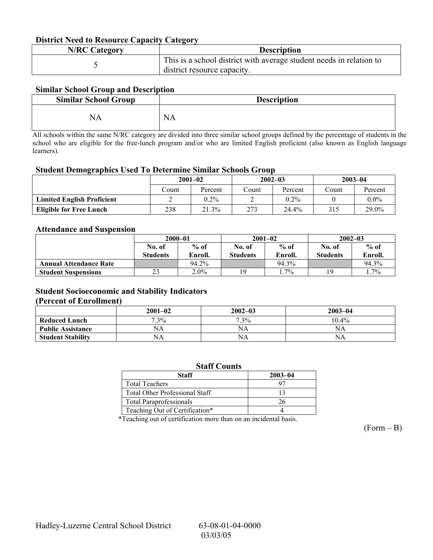### **District Need to Resource Capacity Category**

| <b>N/RC Category</b> | <b>Description</b>                                                                                 |
|----------------------|----------------------------------------------------------------------------------------------------|
|                      | This is a school district with average student needs in relation to<br>district resource capacity. |

### **Similar School Group and Description**

| <b>Similar School Group</b> | <b>Description</b> |
|-----------------------------|--------------------|
| NA                          | <b>NA</b>          |

All schools within the same N/RC category are divided into three similar school groups defined by the percentage of students in the school who are eligible for the free-lunch program and/or who are limited English proficient (also known as English language learners).

#### **Student Demographics Used To Determine Similar Schools Group**

| $\epsilon$                        | $2001 - 02$ |         |       | $2002 - 03$ |        | $2003 - 04$ |  |
|-----------------------------------|-------------|---------|-------|-------------|--------|-------------|--|
|                                   | Count       | Percent | Count | Percent     | Count. | Percent     |  |
| <b>Limited English Proficient</b> |             | $0.2\%$ |       | $0.2\%$     |        | $0.0\%$     |  |
| <b>Eligible for Free Lunch</b>    | 238         | 21.3%   | 273   | 24.4%       | 315    | 29.0%       |  |

### **Attendance and Suspension**

|                               | $2000 - 01$     |         |                 | $2001 - 02$ |                 | $2002 - 03$ |  |
|-------------------------------|-----------------|---------|-----------------|-------------|-----------------|-------------|--|
|                               | No. of          | $%$ of  | No. of          | $%$ of      | No. of          | $%$ of      |  |
|                               | <b>Students</b> | Enroll. | <b>Students</b> | Enroll.     | <b>Students</b> | Enroll.     |  |
| <b>Annual Attendance Rate</b> |                 | 94.2%   |                 | 94.3%       |                 | 94.3%       |  |
| <b>Student Suspensions</b>    | 23              | $2.0\%$ | 19              | $.7\%$      | 19              | $.7\%$      |  |

## **Student Socioeconomic and Stability Indicators**

#### **(Percent of Enrollment)**

|                          | $2001 - 02$ | $2002 - 03$ | $2003 - 04$ |
|--------------------------|-------------|-------------|-------------|
| <b>Reduced Lunch</b>     | $7.3\%$     | $7.3\%$     | $10.4\%$    |
| <b>Public Assistance</b> | NA          | NA          | NA          |
| <b>Student Stability</b> | NΑ          | NA          | NA.         |

| <b>Staff Counts</b>                   |             |  |  |  |  |
|---------------------------------------|-------------|--|--|--|--|
| Staff                                 | $2003 - 04$ |  |  |  |  |
| <b>Total Teachers</b>                 | 97          |  |  |  |  |
| <b>Total Other Professional Staff</b> | 13          |  |  |  |  |
| <b>Total Paraprofessionals</b>        | 26          |  |  |  |  |
| Teaching Out of Certification*        |             |  |  |  |  |

\*Teaching out of certification more than on an incidental basis.

 $(Form - B)$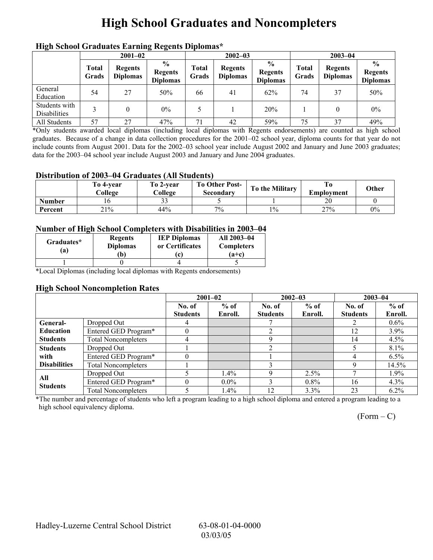# **High School Graduates and Noncompleters**

| mgn benoor Grauuates Larming regents Diplomas |                       |                                   |                                                     |                       |                                   |                                                    |                |                                   |                                                    |  |
|-----------------------------------------------|-----------------------|-----------------------------------|-----------------------------------------------------|-----------------------|-----------------------------------|----------------------------------------------------|----------------|-----------------------------------|----------------------------------------------------|--|
|                                               | $2001 - 02$           |                                   |                                                     |                       | $2002 - 03$                       |                                                    |                | $2003 - 04$                       |                                                    |  |
|                                               | <b>Total</b><br>Grads | <b>Regents</b><br><b>Diplomas</b> | $\frac{6}{10}$<br><b>Regents</b><br><b>Diplomas</b> | <b>Total</b><br>Grads | <b>Regents</b><br><b>Diplomas</b> | $\frac{0}{0}$<br><b>Regents</b><br><b>Diplomas</b> | Total<br>Grads | <b>Regents</b><br><b>Diplomas</b> | $\frac{6}{6}$<br><b>Regents</b><br><b>Diplomas</b> |  |
| General<br>Education                          | 54                    | 27                                | 50%                                                 | 66                    | 41                                | 62%                                                | 74             | 37                                | 50%                                                |  |
| Students with<br>Disabilities                 |                       | 0                                 | $0\%$                                               |                       |                                   | 20%                                                |                |                                   | $0\%$                                              |  |
| All Students                                  | 57                    | 27                                | 47%                                                 | 71                    | 42                                | 59%                                                | 75             | 37                                | 49%                                                |  |

## **High School Graduates Earning Regents Diplomas\***

\*Only students awarded local diplomas (including local diplomas with Regents endorsements) are counted as high school graduates. Because of a change in data collection procedures for the 2001–02 school year, diploma counts for that year do not include counts from August 2001. Data for the 2002–03 school year include August 2002 and January and June 2003 graduates; data for the 2003-04 school year include August 2003 and January and June 2004 graduates.

### **Distribution of 2003–04 Graduates (All Students)**

|               | To 4-vear<br>College | To 2-year<br>College | <b>To Other Post-</b><br>Secondary | To the Military | Emplovment | Other |
|---------------|----------------------|----------------------|------------------------------------|-----------------|------------|-------|
| <b>Number</b> |                      | $\sim$<br>ر_ ر_      |                                    |                 | nη<br>ZU   |       |
| Percent       | 21%                  | 44%                  | 7%                                 | $1\%$           | 27%        | $0\%$ |

### **Number of High School Completers with Disabilities in 2003–04**

| Graduates*<br>a) | <b>Regents</b><br><b>Diplomas</b><br>b) | <b>IEP Diplomas</b><br>or Certificates | All 2003-04<br><b>Completers</b><br>$(a+c)$ |
|------------------|-----------------------------------------|----------------------------------------|---------------------------------------------|
|                  |                                         |                                        |                                             |

\*Local Diplomas (including local diplomas with Regents endorsements)

### **High School Noncompletion Rates**

|                     |                            | $2001 - 02$     |         | $2002 - 03$     |         | $2003 - 04$     |         |
|---------------------|----------------------------|-----------------|---------|-----------------|---------|-----------------|---------|
|                     |                            | No. of          | $%$ of  | No. of          | $%$ of  | No. of          | $%$ of  |
|                     |                            | <b>Students</b> | Enroll. | <b>Students</b> | Enroll. | <b>Students</b> | Enroll. |
| General-            | Dropped Out                | 4               |         |                 |         |                 | $0.6\%$ |
| <b>Education</b>    | Entered GED Program*       |                 |         |                 |         | 12              | 3.9%    |
| <b>Students</b>     | <b>Total Noncompleters</b> | 4               |         |                 |         | 14              | $4.5\%$ |
| <b>Students</b>     | Dropped Out                |                 |         |                 |         |                 | 8.1%    |
| with                | Entered GED Program*       |                 |         |                 |         | 4               | $6.5\%$ |
| <b>Disabilities</b> | <b>Total Noncompleters</b> |                 |         |                 |         | Q               | 14.5%   |
| All                 | Dropped Out                |                 | $1.4\%$ |                 | $2.5\%$ |                 | $1.9\%$ |
| <b>Students</b>     | Entered GED Program*       |                 | $0.0\%$ |                 | $0.8\%$ | 16              | $4.3\%$ |
|                     | <b>Total Noncompleters</b> |                 | $1.4\%$ | 12              | 3.3%    | 23              | $6.2\%$ |

\*The number and percentage of students who left a program leading to a high school diploma and entered a program leading to a high school equivalency diploma.

 $(Form - C)$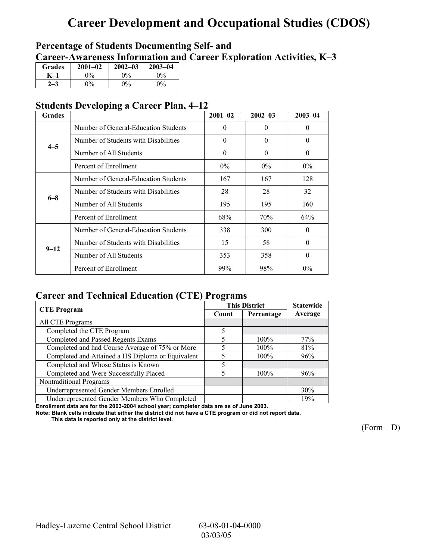# **Career Development and Occupational Studies (CDOS)**

## **Percentage of Students Documenting Self- and**  Career-Awareness Information and Career Exploration Activities, K-3

| <b>Grades</b> | $2001 - 02$ | $2002 - 03$ | $2003 - 04$           |
|---------------|-------------|-------------|-----------------------|
|               | 0%          | $0\%$       | $\gamma$ <sup>o</sup> |
|               | 9%          | $\Omega$ %  | $0\%$                 |

## **Students Developing a Career Plan, 4–12**

| <b>Grades</b> |                                      | $2001 - 02$ | $2002 - 03$ | $2003 - 04$ |
|---------------|--------------------------------------|-------------|-------------|-------------|
|               | Number of General-Education Students | $\theta$    | $\Omega$    | $\theta$    |
| $4 - 5$       | Number of Students with Disabilities | $\theta$    | $\Omega$    | $\theta$    |
|               | Number of All Students               | $\theta$    | $\Omega$    | $\theta$    |
|               | Percent of Enrollment                | $0\%$       | $0\%$       | $0\%$       |
|               | Number of General-Education Students | 167         | 167         | 128         |
| $6 - 8$       | Number of Students with Disabilities | 28          | 28          | 32          |
|               | Number of All Students               | 195         | 195         | 160         |
|               | Percent of Enrollment                | 68%         | 70%         | 64%         |
|               | Number of General-Education Students | 338         | 300         | $\Omega$    |
| $9 - 12$      | Number of Students with Disabilities | 15          | 58          | $\theta$    |
|               | Number of All Students               | 353         | 358         | $\theta$    |
|               | Percent of Enrollment                | 99%         | 98%         | $0\%$       |

## **Career and Technical Education (CTE) Programs**

| <b>CTE</b> Program                                |       | <b>This District</b> | <b>Statewide</b> |
|---------------------------------------------------|-------|----------------------|------------------|
|                                                   | Count | Percentage           | Average          |
| All CTE Programs                                  |       |                      |                  |
| Completed the CTE Program                         | 5     |                      |                  |
| <b>Completed and Passed Regents Exams</b>         | 5     | $100\%$              | 77%              |
| Completed and had Course Average of 75% or More   | 5     | $100\%$              | 81%              |
| Completed and Attained a HS Diploma or Equivalent |       | $100\%$              | 96%              |
| Completed and Whose Status is Known               | 5     |                      |                  |
| Completed and Were Successfully Placed            | 5     | $100\%$              | 96%              |
| Nontraditional Programs                           |       |                      |                  |
| Underrepresented Gender Members Enrolled          |       |                      | 30%              |
| Underrepresented Gender Members Who Completed     |       |                      | 19%              |

**Enrollment data are for the 2003-2004 school year; completer data are as of June 2003.** 

**Note: Blank cells indicate that either the district did not have a CTE program or did not report data. This data is reported only at the district level.** 

 $(Form - D)$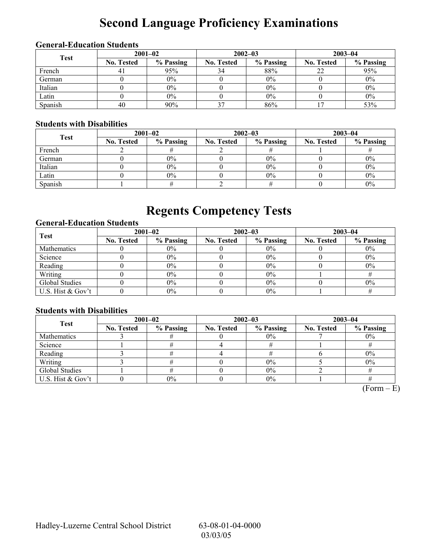# **Second Language Proficiency Examinations**

## **General-Education Students**

| <b>Test</b> | $2001 - 02$       |           |                   | $2002 - 03$ | $2003 - 04$       |           |  |
|-------------|-------------------|-----------|-------------------|-------------|-------------------|-----------|--|
|             | <b>No. Tested</b> | % Passing | <b>No. Tested</b> | % Passing   | <b>No. Tested</b> | % Passing |  |
| French      |                   | 95%       | 34                | 88%         |                   | 95%       |  |
| German      |                   | $0\%$     |                   | $0\%$       |                   | $0\%$     |  |
| Italian     |                   | $0\%$     |                   | $0\%$       |                   | $0\%$     |  |
| Latin       |                   | $0\%$     |                   | $0\%$       |                   | $0\%$     |  |
| Spanish     | 40                | 90%       | $\gamma$          | 86%         |                   | 53%       |  |

### **Students with Disabilities**

| <b>Test</b> | $2001 - 02$       |           |                   | $2002 - 03$ | $2003 - 04$       |           |  |
|-------------|-------------------|-----------|-------------------|-------------|-------------------|-----------|--|
|             | <b>No. Tested</b> | % Passing | <b>No. Tested</b> | % Passing   | <b>No. Tested</b> | % Passing |  |
| French      |                   |           |                   |             |                   |           |  |
| German      |                   | $0\%$     |                   | $0\%$       |                   | $0\%$     |  |
| Italian     |                   | $0\%$     |                   | 0%          |                   | $0\%$     |  |
| Latin       |                   | $0\%$     |                   | 0%          |                   | $0\%$     |  |
| Spanish     |                   |           |                   |             |                   | $0\%$     |  |

# **Regents Competency Tests**

## **General-Education Students**

| <b>Test</b>       | $2001 - 02$       |           |                   | $2002 - 03$ | $2003 - 04$       |           |  |
|-------------------|-------------------|-----------|-------------------|-------------|-------------------|-----------|--|
|                   | <b>No. Tested</b> | % Passing | <b>No. Tested</b> | % Passing   | <b>No. Tested</b> | % Passing |  |
| Mathematics       |                   | $0\%$     |                   | $0\%$       |                   | $0\%$     |  |
| Science           |                   | $0\%$     |                   | 0%          |                   | $0\%$     |  |
| Reading           |                   | $0\%$     |                   | $0\%$       |                   | $0\%$     |  |
| Writing           |                   | $0\%$     |                   | 0%          |                   |           |  |
| Global Studies    |                   | $0\%$     |                   | 0%          |                   | $0\%$     |  |
| U.S. Hist & Gov't |                   | $0\%$     |                   | 0%          |                   |           |  |

### **Students with Disabilities**

| <b>Test</b>       | $2001 - 02$       |           |            | $2002 - 03$ | $2003 - 04$       |           |  |
|-------------------|-------------------|-----------|------------|-------------|-------------------|-----------|--|
|                   | <b>No. Tested</b> | % Passing | No. Tested | % Passing   | <b>No. Tested</b> | % Passing |  |
| Mathematics       |                   |           |            | $0\%$       |                   | $0\%$     |  |
| Science           |                   |           |            |             |                   |           |  |
| Reading           |                   |           |            |             |                   | $0\%$     |  |
| Writing           |                   |           |            | 0%          |                   | $0\%$     |  |
| Global Studies    |                   |           |            | $0\%$       |                   |           |  |
| U.S. Hist & Gov't |                   | $0\%$     |            | 0%          |                   |           |  |

 $(Form - E)$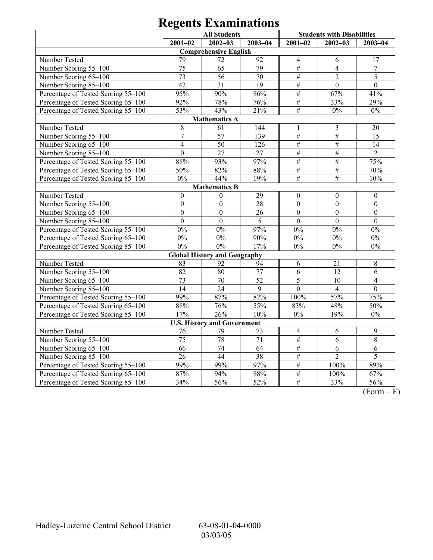|                                     | <b>All Students</b> |                                     |                 | <b>Students with Disabilities</b> |                  |                  |
|-------------------------------------|---------------------|-------------------------------------|-----------------|-----------------------------------|------------------|------------------|
|                                     | $2001 - 02$         | $2002 - 03$                         | $2003 - 04$     | $2001 - 02$                       | $2002 - 03$      | $2003 - 04$      |
|                                     |                     | <b>Comprehensive English</b>        |                 |                                   |                  |                  |
| Number Tested                       | 79                  | 72                                  | 92              | $\overline{4}$                    | 6                | 17               |
| Number Scoring 55-100               | 75                  | 65                                  | 79              | #                                 | $\overline{4}$   | $\boldsymbol{7}$ |
| Number Scoring 65-100               | 73                  | 56                                  | 70              | $\#$                              | $\overline{2}$   | 5                |
| Number Scoring 85-100               | $\overline{42}$     | 31                                  | $\overline{19}$ | $\#$                              | $\overline{0}$   | $\overline{0}$   |
| Percentage of Tested Scoring 55-100 | 95%                 | 90%                                 | 86%             | #                                 | 67%              | 41%              |
| Percentage of Tested Scoring 65-100 | 92%                 | 78%                                 | 76%             | #                                 | 33%              | 29%              |
| Percentage of Tested Scoring 85-100 | 53%                 | 43%                                 | 21%             | $\overline{\#}$                   | $0\%$            | $0\%$            |
|                                     |                     | <b>Mathematics A</b>                |                 |                                   |                  |                  |
| Number Tested                       | 8                   | 61                                  | 144             | $\mathbf{1}$                      | $\mathfrak{Z}$   | 20               |
| Number Scoring 55-100               | $\overline{7}$      | 57                                  | 139             | $\#$                              | $\#$             | 15               |
| Number Scoring 65-100               | $\overline{4}$      | 50                                  | 126             | $\overline{\#}$                   | $\#$             | 14               |
| Number Scoring 85-100               | $\overline{0}$      | $\overline{27}$                     | $\overline{27}$ | $\#$                              | $\#$             | $\overline{2}$   |
| Percentage of Tested Scoring 55-100 | 88%                 | 93%                                 | 97%             | $\#$                              | $\#$             | 75%              |
| Percentage of Tested Scoring 65-100 | 50%                 | 82%                                 | 88%             | $\overline{\#}$                   | $\overline{\#}$  | 70%              |
| Percentage of Tested Scoring 85-100 | $0\%$               | 44%                                 | 19%             | $\#$                              | $\overline{\#}$  | 10%              |
|                                     |                     | <b>Mathematics B</b>                |                 |                                   |                  |                  |
| Number Tested                       | $\boldsymbol{0}$    | $\boldsymbol{0}$                    | 29              | $\boldsymbol{0}$                  | $\boldsymbol{0}$ | $\boldsymbol{0}$ |
| Number Scoring 55-100               | $\boldsymbol{0}$    | $\mathbf{0}$                        | 28              | $\boldsymbol{0}$                  | $\boldsymbol{0}$ | $\overline{0}$   |
| Number Scoring 65-100               | $\boldsymbol{0}$    | $\boldsymbol{0}$                    | 26              | $\boldsymbol{0}$                  | $\boldsymbol{0}$ | $\boldsymbol{0}$ |
| Number Scoring 85-100               | $\mathbf{0}$        | $\boldsymbol{0}$                    | $\overline{5}$  | $\overline{0}$                    | $\overline{0}$   | $\overline{0}$   |
| Percentage of Tested Scoring 55-100 | $\overline{0\%}$    | $\overline{0\%}$                    | 97%             | $\overline{0\%}$                  | $\overline{0\%}$ | $0\%$            |
| Percentage of Tested Scoring 65-100 | $0\%$               | $0\%$                               | 90%             | 0%                                | $0\%$            | $0\%$            |
| Percentage of Tested Scoring 85-100 | $0\%$               | 0%                                  | 17%             | $0\%$                             | $0\%$            | $0\%$            |
|                                     |                     | <b>Global History and Geography</b> |                 |                                   |                  |                  |
| Number Tested                       | 83                  | 92                                  | 94              | 6                                 | 21               | $\,8\,$          |
| Number Scoring 55-100               | 82                  | 80                                  | 77              | 6                                 | 12               | $\overline{6}$   |
| Number Scoring 65-100               | $\overline{73}$     | 70                                  | $\overline{52}$ | 5                                 | 10               | $\overline{4}$   |
| Number Scoring 85-100               | 14                  | $\overline{24}$                     | $\overline{9}$  | $\overline{0}$                    | $\overline{4}$   | $\overline{0}$   |
| Percentage of Tested Scoring 55-100 | 99%                 | 87%                                 | 82%             | 100%                              | 57%              | 75%              |
| Percentage of Tested Scoring 65-100 | 88%                 | 76%                                 | 55%             | 83%                               | 48%              | 50%              |
| Percentage of Tested Scoring 85-100 | 17%                 | 26%                                 | 10%             | $0\%$                             | 19%              | $0\%$            |
|                                     |                     | <b>U.S. History and Government</b>  |                 |                                   |                  |                  |
| Number Tested                       | 76                  | 79                                  | 73              | $\overline{4}$                    | 6                | $\mathbf{9}$     |
| Number Scoring 55-100               | 75                  | 78                                  | 71              | $\#$                              | 6                | $\overline{8}$   |
| Number Scoring 65-100               | $\overline{66}$     | 74                                  | $\overline{64}$ | $\overline{\#}$                   | $\overline{6}$   | $\overline{6}$   |
| Number Scoring 85-100               | $\overline{26}$     | 44                                  | 38              | $\#$                              | $\overline{2}$   | $\overline{5}$   |
| Percentage of Tested Scoring 55-100 | $\frac{1}{99\%}$    | 99%                                 | 97%             | #                                 | 100%             | 89%              |
| Percentage of Tested Scoring 65-100 | 87%                 | 94%                                 | 88%             | #                                 | 100%             | 67%              |
| Percentage of Tested Scoring 85-100 | 34%                 | 56%                                 | 52%             | #                                 | 33%              | 56%              |

 $\overline{(Form - F)}$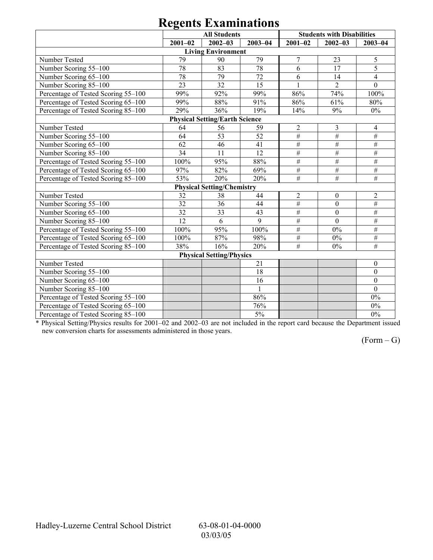| 0                                   |             |                                       |              |                 |                                   |                  |  |  |
|-------------------------------------|-------------|---------------------------------------|--------------|-----------------|-----------------------------------|------------------|--|--|
|                                     |             | <b>All Students</b>                   |              |                 | <b>Students with Disabilities</b> |                  |  |  |
|                                     | $2001 - 02$ | $2002 - 03$                           | $2003 - 04$  | $2001 - 02$     | $2002 - 03$                       | $2003 - 04$      |  |  |
|                                     |             | <b>Living Environment</b>             |              |                 |                                   |                  |  |  |
| Number Tested                       | 79          | 90                                    | 79           | 7               | 23                                | 5                |  |  |
| Number Scoring 55-100               | 78          | 83                                    | 78           | 6               | 17                                | $\overline{5}$   |  |  |
| Number Scoring 65-100               | 78          | 79                                    | 72           | 6               | 14                                | $\overline{4}$   |  |  |
| Number Scoring 85-100               | 23          | 32                                    | 15           |                 | $\overline{2}$                    | $\overline{0}$   |  |  |
| Percentage of Tested Scoring 55-100 | 99%         | 92%                                   | 99%          | 86%             | 74%                               | 100%             |  |  |
| Percentage of Tested Scoring 65-100 | 99%         | 88%                                   | 91%          | 86%             | 61%                               | 80%              |  |  |
| Percentage of Tested Scoring 85-100 | 29%         | 36%                                   | 19%          | 14%             | 9%                                | $0\%$            |  |  |
|                                     |             | <b>Physical Setting/Earth Science</b> |              |                 |                                   |                  |  |  |
| Number Tested                       | 64          | 56                                    | 59           | $\overline{2}$  | 3                                 | 4                |  |  |
| Number Scoring 55-100               | 64          | 53                                    | 52           | $\#$            | $\#$                              | $\#$             |  |  |
| Number Scoring 65-100               | 62          | 46                                    | 41           | $\#$            | $\overline{\#}$                   | $\overline{\#}$  |  |  |
| Number Scoring 85-100               | 34          | 11                                    | 12           | $\#$            | $\overline{\#}$                   | $\#$             |  |  |
| Percentage of Tested Scoring 55-100 | 100%        | 95%                                   | 88%          | $\#$            | $\#$                              | $\#$             |  |  |
| Percentage of Tested Scoring 65-100 | 97%         | 82%                                   | 69%          | $\#$            | $\#$                              | #                |  |  |
| Percentage of Tested Scoring 85-100 | 53%         | 20%                                   | 20%          | #               | #                                 | $\#$             |  |  |
|                                     |             | <b>Physical Setting/Chemistry</b>     |              |                 |                                   |                  |  |  |
| Number Tested                       | 32          | 38                                    | 44           | $\overline{2}$  | $\boldsymbol{0}$                  | $\overline{2}$   |  |  |
| Number Scoring 55-100               | 32          | 36                                    | 44           | $\#$            | $\mathbf{0}$                      | $\#$             |  |  |
| Number Scoring 65-100               | 32          | 33                                    | 43           | #               | $\theta$                          | $\#$             |  |  |
| Number Scoring 85-100               | 12          | 6                                     | 9            | $\overline{\#}$ | $\mathbf{0}$                      | $\overline{\#}$  |  |  |
| Percentage of Tested Scoring 55-100 | 100%        | 95%                                   | 100%         | $\#$            | $0\%$                             | $\overline{+}$   |  |  |
| Percentage of Tested Scoring 65-100 | 100%        | 87%                                   | 98%          | $\#$            | $0\%$                             | $\overline{\#}$  |  |  |
| Percentage of Tested Scoring 85-100 | 38%         | 16%                                   | 20%          | $\overline{\#}$ | $0\%$                             | $\overline{\#}$  |  |  |
|                                     |             | <b>Physical Setting/Physics</b>       |              |                 |                                   |                  |  |  |
| Number Tested                       |             |                                       | 21           |                 |                                   | $\boldsymbol{0}$ |  |  |
| Number Scoring 55-100               |             |                                       | 18           |                 |                                   | $\boldsymbol{0}$ |  |  |
| Number Scoring 65-100               |             |                                       | 16           |                 |                                   | $\overline{0}$   |  |  |
| Number Scoring 85-100               |             |                                       | $\mathbf{1}$ |                 |                                   | $\theta$         |  |  |
| Percentage of Tested Scoring 55-100 |             |                                       | 86%          |                 |                                   | $0\%$            |  |  |
| Percentage of Tested Scoring 65-100 |             |                                       | 76%          |                 |                                   | 0%               |  |  |
| Percentage of Tested Scoring 85-100 |             |                                       | 5%           |                 |                                   | $0\%$            |  |  |

\* Physical Setting/Physics results for 2001–02 and 2002–03 are not included in the report card because the Department issued new conversion charts for assessments administered in those years.

 $(Form - G)$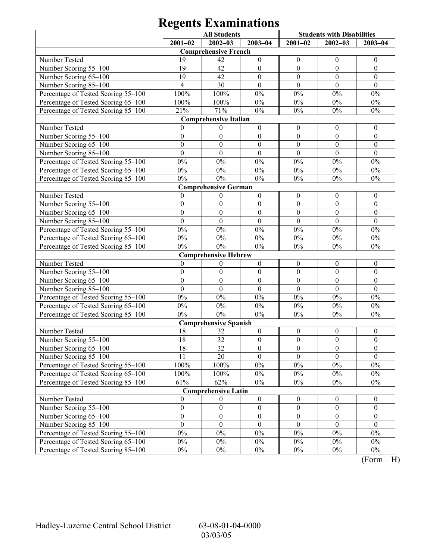|                                     | <b>All Students</b> |                              |                  | <b>Students with Disabilities</b> |                  |                  |
|-------------------------------------|---------------------|------------------------------|------------------|-----------------------------------|------------------|------------------|
|                                     | $2001 - 02$         | $2002 - 03$                  | $2003 - 04$      | $2001 - 02$                       | $2002 - 03$      | $2003 - 04$      |
|                                     |                     | <b>Comprehensive French</b>  |                  |                                   |                  |                  |
| Number Tested                       | 19                  | 42                           | $\boldsymbol{0}$ | $\boldsymbol{0}$                  | $\boldsymbol{0}$ | $\boldsymbol{0}$ |
| Number Scoring 55-100               | 19                  | 42                           | $\boldsymbol{0}$ | $\boldsymbol{0}$                  | $\boldsymbol{0}$ | $\boldsymbol{0}$ |
| Number Scoring 65-100               | 19                  | 42                           | $\boldsymbol{0}$ | $\boldsymbol{0}$                  | $\boldsymbol{0}$ | $\boldsymbol{0}$ |
| Number Scoring 85-100               | $\overline{4}$      | 30                           | $\boldsymbol{0}$ | $\boldsymbol{0}$                  | $\boldsymbol{0}$ | $\boldsymbol{0}$ |
| Percentage of Tested Scoring 55-100 | 100%                | 100%                         | $0\%$            | $0\%$                             | $0\%$            | $0\%$            |
| Percentage of Tested Scoring 65-100 | 100%                | 100%                         | $0\%$            | $0\%$                             | $0\%$            | $0\%$            |
| Percentage of Tested Scoring 85-100 | 21%                 | 71%                          | $0\%$            | $0\%$                             | $0\%$            | $0\%$            |
|                                     |                     | <b>Comprehensive Italian</b> |                  |                                   |                  |                  |
| Number Tested                       | $\theta$            | $\boldsymbol{0}$             | $\boldsymbol{0}$ | $\boldsymbol{0}$                  | $\boldsymbol{0}$ | $\boldsymbol{0}$ |
| Number Scoring 55-100               | $\boldsymbol{0}$    | $\boldsymbol{0}$             | $\boldsymbol{0}$ | $\boldsymbol{0}$                  | $\boldsymbol{0}$ | $\boldsymbol{0}$ |
| Number Scoring 65-100               | $\boldsymbol{0}$    | $\boldsymbol{0}$             | $\boldsymbol{0}$ | $\boldsymbol{0}$                  | $\boldsymbol{0}$ | $\boldsymbol{0}$ |
| Number Scoring 85-100               | $\boldsymbol{0}$    | $\boldsymbol{0}$             | $\boldsymbol{0}$ | $\boldsymbol{0}$                  | $\mathbf{0}$     | $\boldsymbol{0}$ |
| Percentage of Tested Scoring 55-100 | $0\%$               | $0\%$                        | $0\%$            | $0\%$                             | $0\%$            | $0\%$            |
| Percentage of Tested Scoring 65-100 | $0\%$               | $0\%$                        | $0\%$            | $0\%$                             | $0\%$            | $0\%$            |
| Percentage of Tested Scoring 85-100 | $0\%$               | $0\%$                        | $0\%$            | $0\%$                             | $0\%$            | $0\%$            |
|                                     |                     | <b>Comprehensive German</b>  |                  |                                   |                  |                  |
| Number Tested                       | $\mathbf{0}$        | $\boldsymbol{0}$             | $\boldsymbol{0}$ | $\boldsymbol{0}$                  | $\boldsymbol{0}$ | $\boldsymbol{0}$ |
| Number Scoring 55-100               | $\boldsymbol{0}$    | $\boldsymbol{0}$             | $\boldsymbol{0}$ | $\boldsymbol{0}$                  | $\boldsymbol{0}$ | $\boldsymbol{0}$ |
| Number Scoring 65-100               | $\mathbf{0}$        | $\boldsymbol{0}$             | $\boldsymbol{0}$ | $\boldsymbol{0}$                  | $\boldsymbol{0}$ | $\boldsymbol{0}$ |
| Number Scoring 85-100               | $\boldsymbol{0}$    | $\boldsymbol{0}$             | $\boldsymbol{0}$ | $\boldsymbol{0}$                  | $\mathbf{0}$     | $\mathbf{0}$     |
| Percentage of Tested Scoring 55-100 | $0\%$               | $0\%$                        | $0\%$            | $0\%$                             | $0\%$            | $0\%$            |
| Percentage of Tested Scoring 65-100 | $0\%$               | $0\%$                        | $0\%$            | $0\%$                             | $0\%$            | $0\%$            |
| Percentage of Tested Scoring 85-100 | $0\%$               | $0\%$                        | $0\%$            | $0\%$                             | $0\%$            | $0\%$            |
|                                     |                     | <b>Comprehensive Hebrew</b>  |                  |                                   |                  |                  |
| Number Tested                       | $\boldsymbol{0}$    | $\boldsymbol{0}$             | $\boldsymbol{0}$ | $\boldsymbol{0}$                  | $\boldsymbol{0}$ | $\boldsymbol{0}$ |
| Number Scoring 55-100               | $\boldsymbol{0}$    | $\boldsymbol{0}$             | $\boldsymbol{0}$ | $\boldsymbol{0}$                  | $\boldsymbol{0}$ | $\boldsymbol{0}$ |
| Number Scoring 65-100               | $\boldsymbol{0}$    | $\boldsymbol{0}$             | $\boldsymbol{0}$ | $\boldsymbol{0}$                  | $\boldsymbol{0}$ | $\boldsymbol{0}$ |
| Number Scoring 85-100               | $\overline{0}$      | $\mathbf{0}$                 | $\overline{0}$   | $\mathbf{0}$                      | $\mathbf{0}$     | $\mathbf{0}$     |
| Percentage of Tested Scoring 55-100 | $0\%$               | $0\%$                        | $0\%$            | $0\%$                             | $0\%$            | $0\%$            |
| Percentage of Tested Scoring 65-100 | $0\%$               | $0\%$                        | $0\%$            | $0\%$                             | $0\%$            | $0\%$            |
| Percentage of Tested Scoring 85-100 | $0\%$               | $0\%$                        | $0\%$            | $0\%$                             | $0\%$            | $0\%$            |
|                                     |                     | <b>Comprehensive Spanish</b> |                  |                                   |                  |                  |
| Number Tested                       | 18                  | 32                           | $\boldsymbol{0}$ | $\boldsymbol{0}$                  | $\boldsymbol{0}$ | $\boldsymbol{0}$ |
| Number Scoring 55-100               | 18                  | $\overline{32}$              | $\boldsymbol{0}$ | $\boldsymbol{0}$                  | $\boldsymbol{0}$ | $\boldsymbol{0}$ |
| Number Scoring 65–100               | 18                  | 32                           | $\boldsymbol{0}$ | $\boldsymbol{0}$                  | $\boldsymbol{0}$ | $\boldsymbol{0}$ |
| Number Scoring 85-100               | 11                  | 20                           | $\overline{0}$   | $\mathbf{0}$                      | $\mathbf{0}$     | $\overline{0}$   |
| Percentage of Tested Scoring 55-100 | 100%                | 100%                         | $0\%$            | $0\%$                             | $0\%$            | $0\%$            |
| Percentage of Tested Scoring 65-100 | 100%                | 100%                         | $0\%$            | $0\%$                             | $0\%$            | $0\%$            |
| Percentage of Tested Scoring 85-100 | 61%                 | 62%                          | $0\%$            | $0\%$                             | $0\%$            | $0\%$            |
|                                     |                     | <b>Comprehensive Latin</b>   |                  |                                   |                  |                  |
| Number Tested                       | $\overline{0}$      | $\boldsymbol{0}$             | $\boldsymbol{0}$ | $\boldsymbol{0}$                  | $\boldsymbol{0}$ | $\boldsymbol{0}$ |
| Number Scoring 55-100               | $\boldsymbol{0}$    | $\boldsymbol{0}$             | $\boldsymbol{0}$ | $\boldsymbol{0}$                  | $\boldsymbol{0}$ | $\boldsymbol{0}$ |
| Number Scoring 65-100               | $\boldsymbol{0}$    | $\boldsymbol{0}$             | $\boldsymbol{0}$ | $\boldsymbol{0}$                  | $\boldsymbol{0}$ | $\boldsymbol{0}$ |
| Number Scoring 85-100               | $\boldsymbol{0}$    | $\boldsymbol{0}$             | $\boldsymbol{0}$ | $\boldsymbol{0}$                  | $\boldsymbol{0}$ | $\boldsymbol{0}$ |
| Percentage of Tested Scoring 55-100 | $0\%$               | $0\%$                        | $0\%$            | $0\%$                             | $0\%$            | $0\%$            |
| Percentage of Tested Scoring 65-100 | $0\%$               | $0\%$                        | $0\%$            | $0\%$                             | $0\%$            | $0\%$            |
| Percentage of Tested Scoring 85-100 | $0\%$               | $0\%$                        | $0\%$            | $0\%$                             | $0\%$            | $0\%$            |

 $(Form - H)$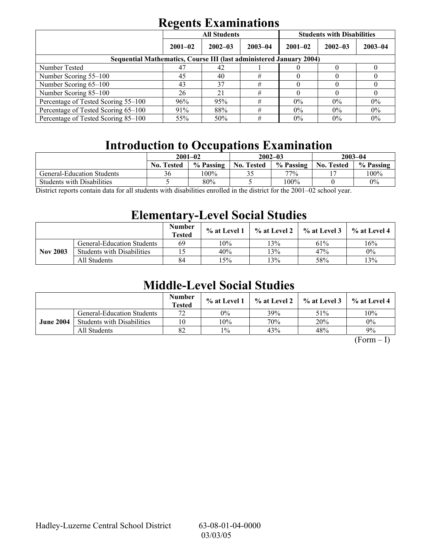|                                                                     | <b>All Students</b> |             |             | <b>Students with Disabilities</b> |             |             |  |
|---------------------------------------------------------------------|---------------------|-------------|-------------|-----------------------------------|-------------|-------------|--|
|                                                                     | $2001 - 02$         | $2002 - 03$ | $2003 - 04$ | $2001 - 02$                       | $2002 - 03$ | $2003 - 04$ |  |
| Sequential Mathematics, Course III (last administered January 2004) |                     |             |             |                                   |             |             |  |
| Number Tested                                                       | 47                  | 42          |             |                                   |             |             |  |
| Number Scoring 55–100                                               | 45                  | 40          | #           | $\mathbf{U}$                      |             |             |  |
| Number Scoring 65-100                                               | 43                  | 37          | #           |                                   |             |             |  |
| Number Scoring 85-100                                               | 26                  | 21          | #           | O                                 |             | U           |  |
| Percentage of Tested Scoring 55-100                                 | 96%                 | 95%         | #           | $0\%$                             | $0\%$       | $0\%$       |  |
| Percentage of Tested Scoring 65-100                                 | 91%                 | 88%         | #           | $0\%$                             | $0\%$       | $0\%$       |  |
| Percentage of Tested Scoring 85–100                                 | 55%                 | 50%         | #           | $0\%$                             | $0\%$       | $0\%$       |  |

# **Introduction to Occupations Examination**

|                                   | $2001 - 02$       |           |                   | $2002 - 03$                 | $2003 - 04$       |           |  |
|-----------------------------------|-------------------|-----------|-------------------|-----------------------------|-------------------|-----------|--|
|                                   | <b>No. Tested</b> | % Passing | <b>No. Tested</b> | % Passing                   | <b>No. Tested</b> | % Passing |  |
| General-Education Students        | 36                | 100%      | ں ر               | 77%                         |                   | 100%      |  |
| <b>Students with Disabilities</b> |                   | 80%       |                   | 100%                        |                   | $0\%$     |  |
|                                   |                   |           |                   | $\sim$ $\sim$ $\sim$ $\sim$ |                   |           |  |

District reports contain data for all students with disabilities enrolled in the district for the 2001–02 school year.

## **Elementary-Level Social Studies**

|                 |                                   | <b>Number</b><br><b>Tested</b> | % at Level 1 | $\%$ at Level 2 | % at Level 3 | % at Level 4 |
|-----------------|-----------------------------------|--------------------------------|--------------|-----------------|--------------|--------------|
|                 | <b>General-Education Students</b> | 69                             | 10%          | 3%              | 61%          | 16%          |
| <b>Nov 2003</b> | <b>Students with Disabilities</b> |                                | 40%          | $3\%$           | 47%          | $0\%$        |
|                 | All Students                      | 84                             | $5\%$        | 3%              | 58%          | 13%          |

## **Middle-Level Social Studies**

|                  |                                   | <b>Number</b><br><b>Tested</b> | $\%$ at Level 1 |     | $\%$ at Level 2 $\%$ at Level 3 | $%$ at Level 4 |
|------------------|-----------------------------------|--------------------------------|-----------------|-----|---------------------------------|----------------|
|                  | <b>General-Education Students</b> | 70                             | $0\%$           | 39% | 51%                             | 10%            |
| <b>June 2004</b> | <b>Students with Disabilities</b> | 10                             | 10%             | 70% | 20%                             | 0%             |
|                  | All Students                      | 82                             | $1\%$           | 43% | 48%                             | 9%             |

 $(Form - I)$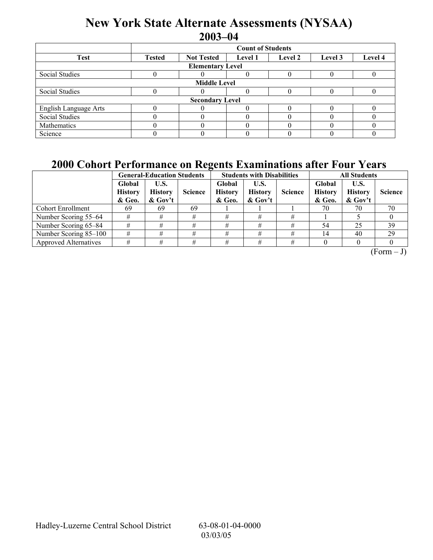## **New York State Alternate Assessments (NYSAA) 2003-04**

|                         | <b>Count of Students</b>                                                              |  |  |  |  |  |  |  |  |  |
|-------------------------|---------------------------------------------------------------------------------------|--|--|--|--|--|--|--|--|--|
| <b>Test</b>             | <b>Not Tested</b><br>Level 4<br><b>Tested</b><br>Level 2<br><b>Level 1</b><br>Level 3 |  |  |  |  |  |  |  |  |  |
| <b>Elementary Level</b> |                                                                                       |  |  |  |  |  |  |  |  |  |
| Social Studies          |                                                                                       |  |  |  |  |  |  |  |  |  |
| <b>Middle Level</b>     |                                                                                       |  |  |  |  |  |  |  |  |  |
| Social Studies          |                                                                                       |  |  |  |  |  |  |  |  |  |
| <b>Secondary Level</b>  |                                                                                       |  |  |  |  |  |  |  |  |  |
| English Language Arts   |                                                                                       |  |  |  |  |  |  |  |  |  |
| <b>Social Studies</b>   |                                                                                       |  |  |  |  |  |  |  |  |  |
| Mathematics             |                                                                                       |  |  |  |  |  |  |  |  |  |
| Science                 |                                                                                       |  |  |  |  |  |  |  |  |  |

## **2000 Cohort Performance on Regents Examinations after Four Years**

|                              |                                    | <b>General-Education Students</b>    | $\overline{\phantom{a}}$ |                                    | <b>Students with Disabilities</b>    |                | <b>All Students</b>                |                                     |                |
|------------------------------|------------------------------------|--------------------------------------|--------------------------|------------------------------------|--------------------------------------|----------------|------------------------------------|-------------------------------------|----------------|
|                              | Global<br><b>History</b><br>& Geo. | U.S.<br><b>History</b><br>$\&$ Gov't | <b>Science</b>           | Global<br><b>History</b><br>& Geo. | U.S.<br><b>History</b><br>$\&$ Gov't | <b>Science</b> | Global<br><b>History</b><br>& Geo. | U.S.<br><b>History</b><br>$&$ Gov't | <b>Science</b> |
| <b>Cohort Enrollment</b>     | -69                                | 69                                   | 69                       |                                    |                                      |                | 70                                 | 70                                  | 70             |
| Number Scoring 55–64         |                                    |                                      | #                        |                                    |                                      | #              |                                    |                                     |                |
| Number Scoring 65–84         |                                    |                                      | #                        | #                                  |                                      | #              | 54                                 | 25                                  | 39             |
| Number Scoring 85-100        |                                    |                                      | #                        | #                                  |                                      | #              | 14                                 | 40                                  | 29             |
| <b>Approved Alternatives</b> |                                    |                                      | #                        |                                    |                                      | #              |                                    |                                     |                |

 $(Form - J)$